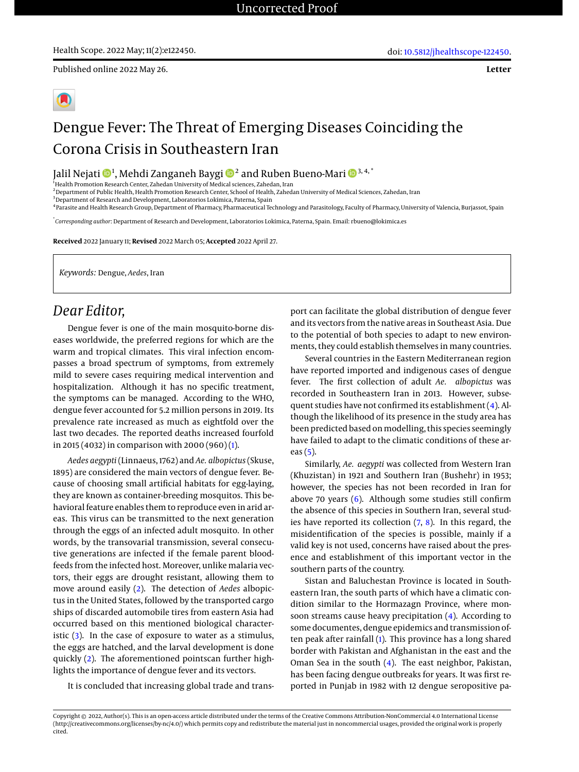**Letter**

# Dengue Fever: The Threat of Emerging Diseases Coinciding the Corona Crisis in Southeastern Iran

Jalil Nejati <sup>1</sup> , Mehdi Zanganeh Baygi [2](https://orcid.org/0000-0001-6291-5140) and Ruben Bueno-Mari 3, 4, \*

<sup>1</sup> Health Promotion Research Center, Zahedan University of Medical sciences, Zahedan, Iran

<sup>2</sup>Department of Public Health, Health Promotion Research Center, School of Health, Zahedan University of Medical Sciences, Zahedan, Iran

<sup>3</sup> Department of Research and Development, Laboratorios Lokímica, Paterna, Spain

4 Parasite and Health Research Group, Department of Pharmacy, Pharmaceutical Technology and Parasitology, Faculty of Pharmacy, University of Valencia, Burjassot, Spain

\* *Corresponding author*: Department of Research and Development, Laboratorios Lokímica, Paterna, Spain. Email: rbueno@lokimica.es

**Received** 2022 January 11; **Revised** 2022 March 05; **Accepted** 2022 April 27.

*Keywords:* Dengue, *Aedes*, Iran

## *Dear Editor,*

Dengue fever is one of the main mosquito-borne diseases worldwide, the preferred regions for which are the warm and tropical climates. This viral infection encompasses a broad spectrum of symptoms, from extremely mild to severe cases requiring medical intervention and hospitalization. Although it has no specific treatment, the symptoms can be managed. According to the WHO, dengue fever accounted for 5.2 million persons in 2019. Its prevalence rate increased as much as eightfold over the last two decades. The reported deaths increased fourfold in 2015 (4032) in comparison with 2000 (960) [\(1\)](#page-1-0).

*Aedes aegypti* (Linnaeus, 1762) and *Ae. albopictus* (Skuse, 1895) are considered the main vectors of dengue fever. Because of choosing small artificial habitats for egg-laying, they are known as container-breeding mosquitos. This behavioral feature enables them to reproduce even in arid areas. This virus can be transmitted to the next generation through the eggs of an infected adult mosquito. In other words, by the transovarial transmission, several consecutive generations are infected if the female parent bloodfeeds from the infected host. Moreover, unlike malaria vectors, their eggs are drought resistant, allowing them to move around easily [\(2\)](#page-1-1). The detection of *Aedes* albopictus in the United States, followed by the transported cargo ships of discarded automobile tires from eastern Asia had occurred based on this mentioned biological characteristic  $(3)$ . In the case of exposure to water as a stimulus, the eggs are hatched, and the larval development is done quickly [\(2\)](#page-1-1). The aforementioned pointscan further highlights the importance of dengue fever and its vectors.

It is concluded that increasing global trade and trans-

port can facilitate the global distribution of dengue fever and its vectors from the native areas in Southeast Asia. Due to the potential of both species to adapt to new environments, they could establish themselves in many countries.

Several countries in the Eastern Mediterranean region have reported imported and indigenous cases of dengue fever. The first collection of adult *Ae. albopictus* was recorded in Southeastern Iran in 2013. However, subsequent studies have not confirmed its establishment [\(4\)](#page-1-3). Although the likelihood of its presence in the study area has been predicted based on modelling, this species seemingly have failed to adapt to the climatic conditions of these areas [\(5\)](#page-1-4).

Similarly, *Ae. aegypti* was collected from Western Iran (Khuzistan) in 1921 and Southern Iran (Bushehr) in 1953; however, the species has not been recorded in Iran for above 70 years [\(6\)](#page-1-5). Although some studies still confirm the absence of this species in Southern Iran, several studies have reported its collection  $(7, 8)$  $(7, 8)$  $(7, 8)$ . In this regard, the misidentification of the species is possible, mainly if a valid key is not used, concerns have raised about the presence and establishment of this important vector in the southern parts of the country.

Sistan and Baluchestan Province is located in Southeastern Iran, the south parts of which have a climatic condition similar to the Hormazagn Province, where monsoon streams cause heavy precipitation [\(4\)](#page-1-3). According to some documentes, dengue epidemics and transmission often peak after rainfall [\(1\)](#page-1-0). This province has a long shared border with Pakistan and Afghanistan in the east and the Oman Sea in the south [\(4\)](#page-1-3). The east neighbor, Pakistan, has been facing dengue outbreaks for years. It was first reported in Punjab in 1982 with 12 dengue seropositive pa-

Copyright @ 2022, Author(s). This is an open-access article distributed under the terms of the Creative Commons Attribution-NonCommercial 4.0 International License (http://creativecommons.org/licenses/by-nc/4.0/) which permits copy and redistribute the material just in noncommercial usages, provided the original work is properly cited.